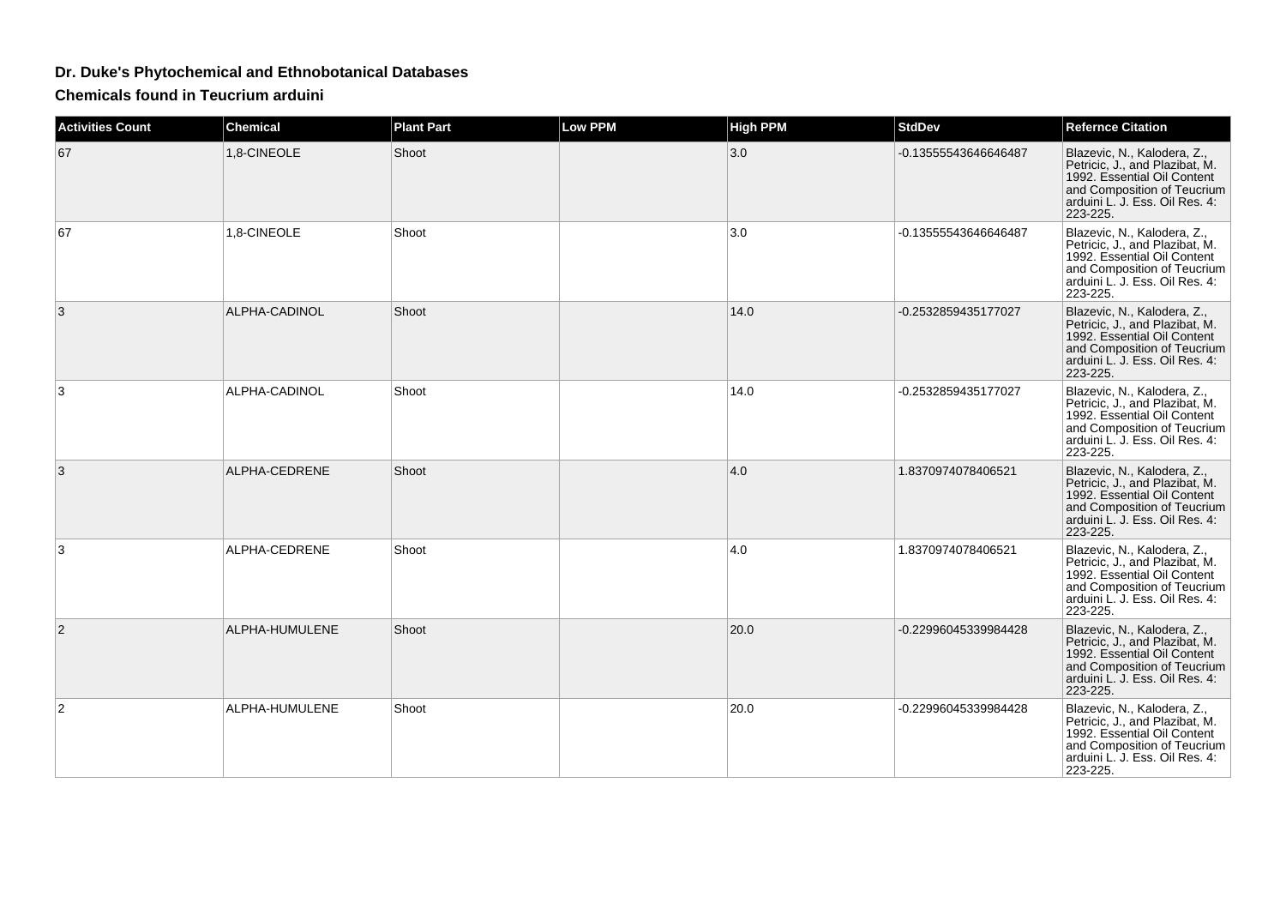## **Dr. Duke's Phytochemical and Ethnobotanical Databases**

**Chemicals found in Teucrium arduini**

| <b>Activities Count</b> | <b>Chemical</b> | <b>Plant Part</b> | <b>Low PPM</b> | <b>High PPM</b> | <b>StdDev</b>        | <b>Refernce Citation</b>                                                                                                                                                  |
|-------------------------|-----------------|-------------------|----------------|-----------------|----------------------|---------------------------------------------------------------------------------------------------------------------------------------------------------------------------|
| 67                      | 1,8-CINEOLE     | Shoot             |                | 3.0             | -0.13555543646646487 | Blazevic, N., Kalodera, Z.,<br>Petricic, J., and Plazibat, M.<br>1992. Essential Oil Content<br>and Composition of Teucrium<br>arduini L. J. Ess. Oil Res. 4:<br>223-225. |
| 67                      | 1,8-CINEOLE     | Shoot             |                | 3.0             | -0.13555543646646487 | Blazevic, N., Kalodera, Z.,<br>Petricic, J., and Plazibat, M.<br>1992. Essential Oil Content<br>and Composition of Teucrium<br>arduini L. J. Ess. Oil Res. 4:<br>223-225. |
| 3                       | ALPHA-CADINOL   | Shoot             |                | 14.0            | -0.2532859435177027  | Blazevic, N., Kalodera, Z.,<br>Petricic, J., and Plazibat, M.<br>1992. Essential Oil Content<br>and Composition of Teucrium<br>arduini L. J. Ess. Oil Res. 4:<br>223-225. |
| 3                       | ALPHA-CADINOL   | Shoot             |                | 14.0            | -0.2532859435177027  | Blazevic, N., Kalodera, Z.,<br>Petricic, J., and Plazibat, M.<br>1992. Essential Oil Content<br>and Composition of Teucrium<br>arduini L. J. Ess. Oil Res. 4:<br>223-225. |
| 3                       | ALPHA-CEDRENE   | Shoot             |                | 4.0             | 1.8370974078406521   | Blazevic, N., Kalodera, Z.,<br>Petricic, J., and Plazibat, M.<br>1992. Essential Oil Content<br>and Composition of Teucrium<br>arduini L. J. Ess. Oil Res. 4:<br>223-225. |
| 3                       | ALPHA-CEDRENE   | Shoot             |                | 4.0             | 1.8370974078406521   | Blazevic, N., Kalodera, Z.,<br>Petricic, J., and Plazibat, M.<br>1992. Essential Oil Content<br>and Composition of Teucrium<br>arduini L. J. Ess. Oil Res. 4:<br>223-225. |
| $\overline{2}$          | ALPHA-HUMULENE  | Shoot             |                | 20.0            | -0.22996045339984428 | Blazevic, N., Kalodera, Z.,<br>Petricic, J., and Plazibat, M.<br>1992. Essential Oil Content<br>and Composition of Teucrium<br>arduini L. J. Ess. Oil Res. 4:<br>223-225. |
| $\overline{2}$          | ALPHA-HUMULENE  | Shoot             |                | 20.0            | -0.22996045339984428 | Blazevic, N., Kalodera, Z.,<br>Petricic, J., and Plazibat, M.<br>1992. Essential Oil Content<br>and Composition of Teucrium<br>arduini L. J. Ess. Oil Res. 4:<br>223-225. |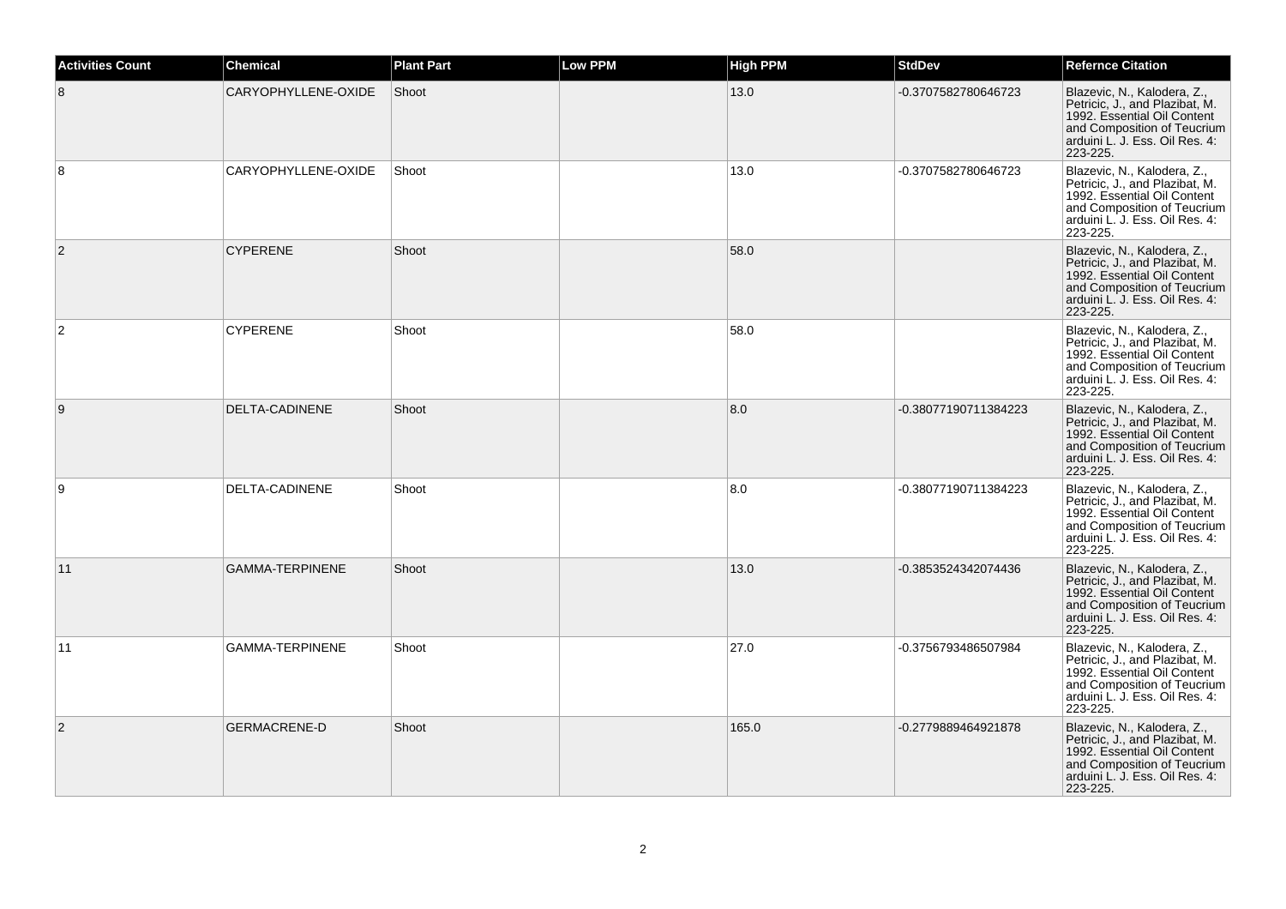| <b>Activities Count</b> | <b>Chemical</b>        | <b>Plant Part</b> | <b>Low PPM</b> | <b>High PPM</b> | <b>StdDev</b>        | <b>Refernce Citation</b>                                                                                                                                                  |
|-------------------------|------------------------|-------------------|----------------|-----------------|----------------------|---------------------------------------------------------------------------------------------------------------------------------------------------------------------------|
| 8                       | CARYOPHYLLENE-OXIDE    | Shoot             |                | 13.0            | -0.3707582780646723  | Blazevic, N., Kalodera, Z.,<br>Petricic, J., and Plazibat, M.<br>1992. Essential Oil Content<br>and Composition of Teucrium<br>arduini L. J. Ess. Oil Res. 4:<br>223-225. |
| 8                       | CARYOPHYLLENE-OXIDE    | Shoot             |                | 13.0            | -0.3707582780646723  | Blazevic, N., Kalodera, Z.,<br>Petricic, J., and Plazibat, M.<br>1992. Essential Oil Content<br>and Composition of Teucrium<br>arduini L. J. Ess. Oil Res. 4:<br>223-225. |
| $\overline{2}$          | <b>CYPERENE</b>        | Shoot             |                | 58.0            |                      | Blazevic, N., Kalodera, Z.,<br>Petricic, J., and Plazibat, M.<br>1992. Essential Oil Content<br>and Composition of Teucrium<br>arduini L. J. Ess. Oil Res. 4:<br>223-225. |
| $\overline{2}$          | <b>CYPERENE</b>        | Shoot             |                | 58.0            |                      | Blazevic, N., Kalodera, Z.,<br>Petricic, J., and Plazibat, M.<br>1992. Essential Oil Content<br>and Composition of Teucrium<br>arduini L. J. Ess. Oil Res. 4:<br>223-225. |
| 9                       | DELTA-CADINENE         | Shoot             |                | 8.0             | -0.38077190711384223 | Blazevic, N., Kalodera, Z.,<br>Petricic, J., and Plazibat, M.<br>1992. Essential Oil Content<br>and Composition of Teucrium<br>arduini L. J. Ess. Oil Res. 4:<br>223-225. |
| 9                       | DELTA-CADINENE         | Shoot             |                | 8.0             | -0.38077190711384223 | Blazevic, N., Kalodera, Z.,<br>Petricic, J., and Plazibat, M.<br>1992. Essential Oil Content<br>and Composition of Teucrium<br>arduini L. J. Ess. Oil Res. 4:<br>223-225. |
| 11                      | <b>GAMMA-TERPINENE</b> | Shoot             |                | 13.0            | -0.3853524342074436  | Blazevic, N., Kalodera, Z.,<br>Petricic, J., and Plazibat, M.<br>1992. Essential Oil Content<br>and Composition of Teucrium<br>arduini L. J. Ess. Oil Res. 4:<br>223-225. |
| 11                      | GAMMA-TERPINENE        | Shoot             |                | 27.0            | -0.3756793486507984  | Blazevic, N., Kalodera, Z.,<br>Petricic, J., and Plazibat, M.<br>1992. Essential Oil Content<br>and Composition of Teucrium<br>arduini L. J. Ess. Oil Res. 4:<br>223-225. |
| $\overline{2}$          | <b>GERMACRENE-D</b>    | Shoot             |                | 165.0           | -0.2779889464921878  | Blazevic, N., Kalodera, Z.,<br>Petricic, J., and Plazibat, M.<br>1992. Essential Oil Content<br>and Composition of Teucrium<br>arduini L. J. Ess. Oil Res. 4:<br>223-225. |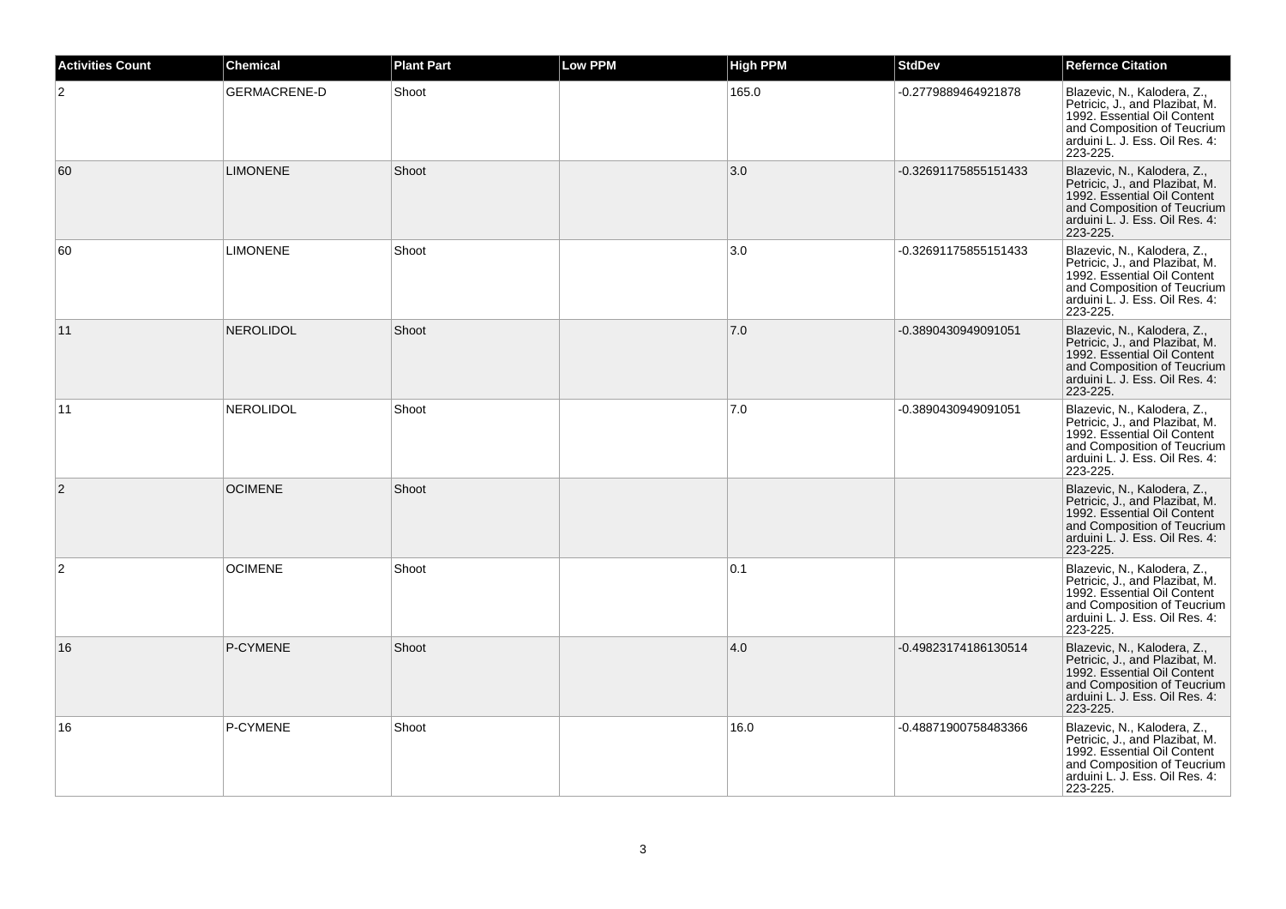| <b>Activities Count</b> | <b>Chemical</b>     | <b>Plant Part</b> | <b>Low PPM</b> | <b>High PPM</b> | <b>StdDev</b>        | <b>Refernce Citation</b>                                                                                                                                                  |
|-------------------------|---------------------|-------------------|----------------|-----------------|----------------------|---------------------------------------------------------------------------------------------------------------------------------------------------------------------------|
| $\overline{2}$          | <b>GERMACRENE-D</b> | Shoot             |                | 165.0           | -0.2779889464921878  | Blazevic, N., Kalodera, Z.,<br>Petricic, J., and Plazibat, M.<br>1992. Essential Oil Content<br>and Composition of Teucrium<br>arduini L. J. Ess. Oil Res. 4:<br>223-225. |
| 60                      | <b>LIMONENE</b>     | Shoot             |                | 3.0             | -0.32691175855151433 | Blazevic, N., Kalodera, Z.,<br>Petricic, J., and Plazibat, M.<br>1992. Essential Oil Content<br>and Composition of Teucrium<br>arduini L. J. Ess. Oil Res. 4:<br>223-225. |
| 60                      | <b>LIMONENE</b>     | Shoot             |                | 3.0             | -0.32691175855151433 | Blazevic, N., Kalodera, Z.,<br>Petricic, J., and Plazibat, M.<br>1992. Essential Oil Content<br>and Composition of Teucrium<br>arduini L. J. Ess. Oil Res. 4:<br>223-225. |
| 11                      | <b>NEROLIDOL</b>    | Shoot             |                | 7.0             | -0.3890430949091051  | Blazevic, N., Kalodera, Z.,<br>Petricic, J., and Plazibat, M.<br>1992. Essential Oil Content<br>and Composition of Teucrium<br>arduini L. J. Ess. Oil Res. 4:<br>223-225. |
| 11                      | <b>NEROLIDOL</b>    | Shoot             |                | 7.0             | -0.3890430949091051  | Blazevic, N., Kalodera, Z.,<br>Petricic, J., and Plazibat, M.<br>1992. Essential Oil Content<br>and Composition of Teucrium<br>arduini L. J. Ess. Oil Res. 4:<br>223-225. |
| $\overline{c}$          | <b>OCIMENE</b>      | Shoot             |                |                 |                      | Blazevic, N., Kalodera, Z.,<br>Petricic, J., and Plazibat, M.<br>1992. Essential Oil Content<br>and Composition of Teucrium<br>arduini L. J. Ess. Oil Res. 4:<br>223-225. |
| $\overline{c}$          | <b>OCIMENE</b>      | Shoot             |                | 0.1             |                      | Blazevic, N., Kalodera, Z.,<br>Petricic, J., and Plazibat, M.<br>1992. Essential Oil Content<br>and Composition of Teucrium<br>arduini L. J. Ess. Oil Res. 4:<br>223-225. |
| 16                      | P-CYMENE            | Shoot             |                | 4.0             | -0.49823174186130514 | Blazevic, N., Kalodera, Z.,<br>Petricic, J., and Plazibat, M.<br>1992. Essential Oil Content<br>and Composition of Teucrium<br>arduini L. J. Ess. Oil Res. 4:<br>223-225. |
| 16                      | P-CYMENE            | Shoot             |                | 16.0            | -0.48871900758483366 | Blazevic, N., Kalodera, Z.,<br>Petricic, J., and Plazibat, M.<br>1992. Essential Oil Content<br>and Composition of Teucrium<br>arduini L. J. Ess. Oil Res. 4:<br>223-225. |